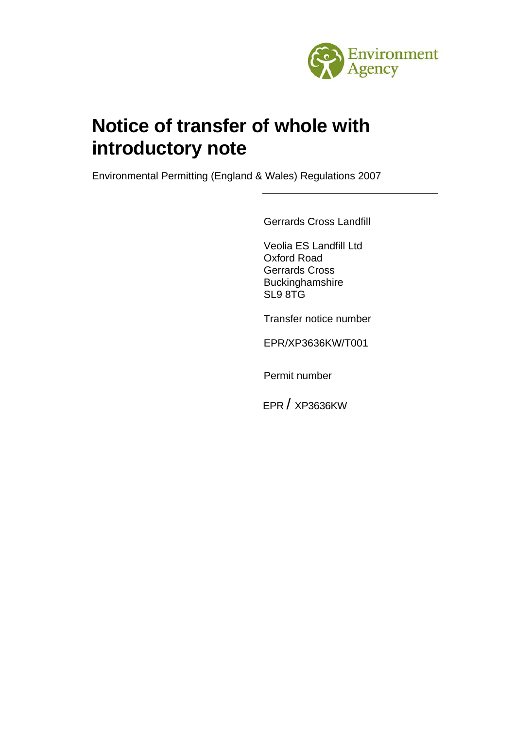

# **Notice of transfer of whole with introductory note**

Environmental Permitting (England & Wales) Regulations 2007

Gerrards Cross Landfill

Veolia ES Landfill Ltd Oxford Road Gerrards Cross Buckinghamshire SL9 8TG

Transfer notice number

EPR/XP3636KW/T001

Permit number

EPR / XP3636KW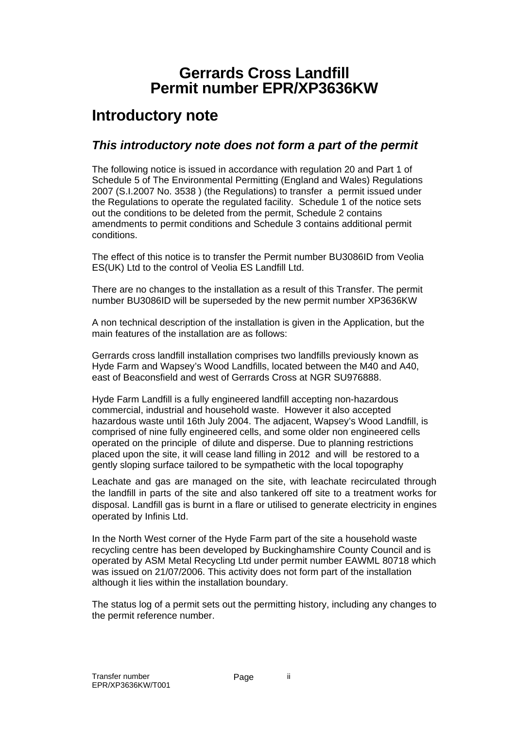## **Gerrards Cross Landfill Permit number EPR/XP3636KW**

## **Introductory note**

## *This introductory note does not form a part of the permit*

The following notice is issued in accordance with regulation 20 and Part 1 of Schedule 5 of The Environmental Permitting (England and Wales) Regulations 2007 (S.I.2007 No. 3538 ) (the Regulations) to transfer a permit issued under the Regulations to operate the regulated facility. Schedule 1 of the notice sets out the conditions to be deleted from the permit, Schedule 2 contains amendments to permit conditions and Schedule 3 contains additional permit conditions.

The effect of this notice is to transfer the Permit number BU3086ID from Veolia ES(UK) Ltd to the control of Veolia ES Landfill Ltd.

There are no changes to the installation as a result of this Transfer. The permit number BU3086ID will be superseded by the new permit number XP3636KW

A non technical description of the installation is given in the Application, but the main features of the installation are as follows:

Gerrards cross landfill installation comprises two landfills previously known as Hyde Farm and Wapsey's Wood Landfills, located between the M40 and A40, east of Beaconsfield and west of Gerrards Cross at NGR SU976888.

Hyde Farm Landfill is a fully engineered landfill accepting non-hazardous commercial, industrial and household waste. However it also accepted hazardous waste until 16th July 2004. The adjacent, Wapsey's Wood Landfill, is comprised of nine fully engineered cells, and some older non engineered cells operated on the principle of dilute and disperse. Due to planning restrictions placed upon the site, it will cease land filling in 2012 and will be restored to a gently sloping surface tailored to be sympathetic with the local topography

Leachate and gas are managed on the site, with leachate recirculated through the landfill in parts of the site and also tankered off site to a treatment works for disposal. Landfill gas is burnt in a flare or utilised to generate electricity in engines operated by Infinis Ltd.

In the North West corner of the Hyde Farm part of the site a household waste recycling centre has been developed by Buckinghamshire County Council and is operated by ASM Metal Recycling Ltd under permit number EAWML 80718 which was issued on 21/07/2006. This activity does not form part of the installation although it lies within the installation boundary.

The status log of a permit sets out the permitting history, including any changes to the permit reference number.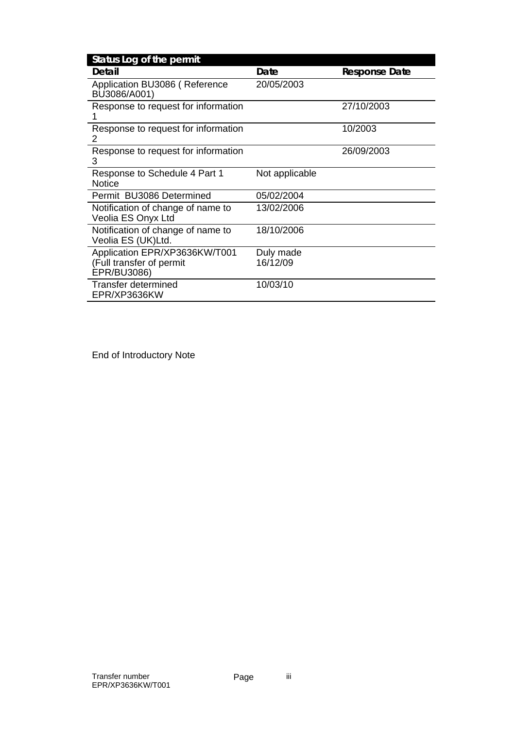| Status Log of the permit                                                 |                       |                      |
|--------------------------------------------------------------------------|-----------------------|----------------------|
| Detail                                                                   | Date                  | <b>Response Date</b> |
| Application BU3086 (Reference<br>BU3086/A001)                            | 20/05/2003            |                      |
| Response to request for information                                      |                       | 27/10/2003           |
| Response to request for information<br>2                                 |                       | 10/2003              |
| Response to request for information<br>3                                 |                       | 26/09/2003           |
| Response to Schedule 4 Part 1<br><b>Notice</b>                           | Not applicable        |                      |
| Permit BU3086 Determined                                                 | 05/02/2004            |                      |
| Notification of change of name to<br>Veolia ES Onyx Ltd                  | 13/02/2006            |                      |
| Notification of change of name to<br>Veolia ES (UK)Ltd.                  | 18/10/2006            |                      |
| Application EPR/XP3636KW/T001<br>(Full transfer of permit<br>EPR/BU3086) | Duly made<br>16/12/09 |                      |
| Transfer determined<br>EPR/XP3636KW                                      | 10/03/10              |                      |

End of Introductory Note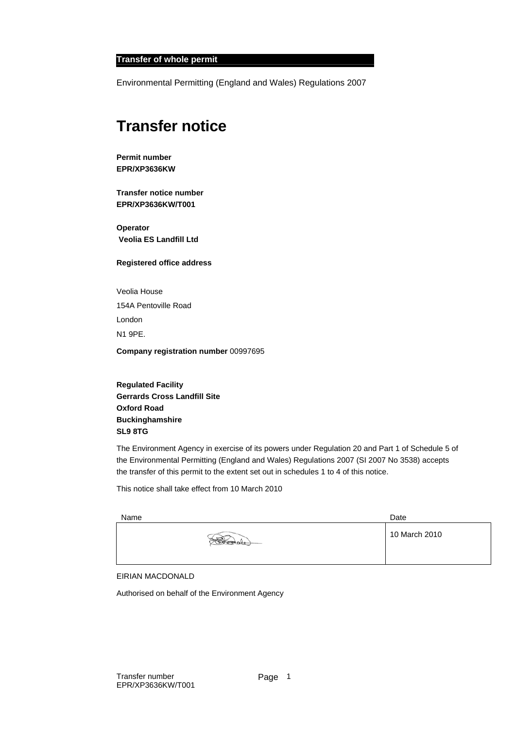#### **Transfer of whole permit**

Environmental Permitting (England and Wales) Regulations 2007

## **Transfer notice**

**Permit number EPR/XP3636KW**

**Transfer notice number EPR/XP3636KW/T001** 

**Operator Veolia ES Landfill Ltd** 

#### **Registered office address**

Veolia House 154A Pentoville Road London N1 9PE.

**Company registration number** 00997695

**Regulated Facility Gerrards Cross Landfill Site Oxford Road Buckinghamshire SL9 8TG** 

The Environment Agency in exercise of its powers under Regulation 20 and Part 1 of Schedule 5 of the Environmental Permitting (England and Wales) Regulations 2007 (SI 2007 No 3538) accepts the transfer of this permit to the extent set out in schedules 1 to 4 of this notice.

This notice shall take effect from 10 March 2010

| Name |                    | Date          |
|------|--------------------|---------------|
|      | $\overline{\circ}$ | 10 March 2010 |
|      |                    |               |

#### EIRIAN MACDONALD

Authorised on behalf of the Environment Agency